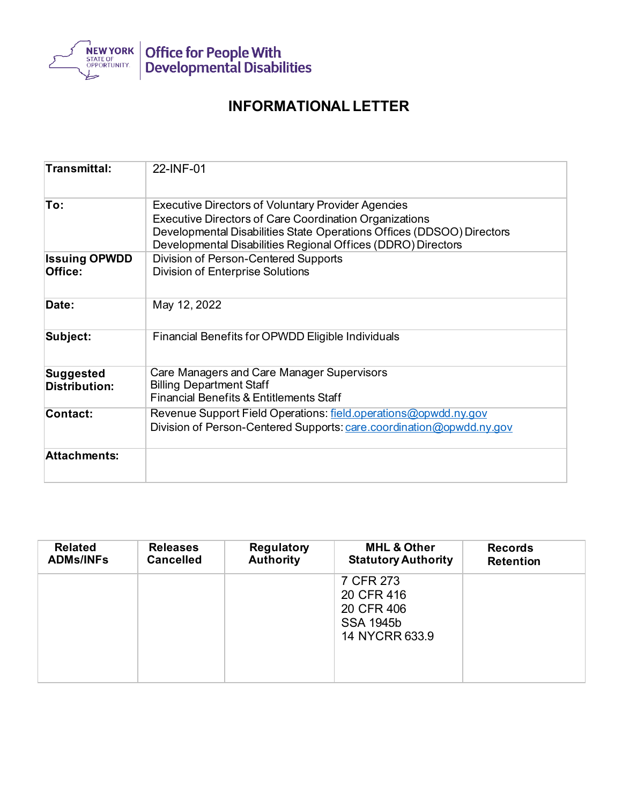

## **INFORMATIONAL LETTER**

| Transmittal:                             | 22-INF-01                                                                                                                               |  |  |  |  |
|------------------------------------------|-----------------------------------------------------------------------------------------------------------------------------------------|--|--|--|--|
| To:                                      | <b>Executive Directors of Voluntary Provider Agencies</b><br><b>Executive Directors of Care Coordination Organizations</b>              |  |  |  |  |
|                                          | Developmental Disabilities State Operations Offices (DDSOO) Directors<br>Developmental Disabilities Regional Offices (DDRO) Directors   |  |  |  |  |
| <b>Issuing OPWDD</b><br>Office:          | Division of Person-Centered Supports<br><b>Division of Enterprise Solutions</b>                                                         |  |  |  |  |
| Date:                                    | May 12, 2022                                                                                                                            |  |  |  |  |
| Subject:                                 | Financial Benefits for OPWDD Eligible Individuals                                                                                       |  |  |  |  |
| <b>Suggested</b><br><b>Distribution:</b> | Care Managers and Care Manager Supervisors<br><b>Billing Department Staff</b><br><b>Financial Benefits &amp; Entitlements Staff</b>     |  |  |  |  |
| <b>Contact:</b>                          | Revenue Support Field Operations: field.operations@opwdd.ny.gov<br>Division of Person-Centered Supports: care.coordination@opwdd.ny.gov |  |  |  |  |
| <b>Attachments:</b>                      |                                                                                                                                         |  |  |  |  |

| <b>Related</b>   | <b>Releases</b>  | <b>Regulatory</b> | <b>MHL &amp; Other</b>                                                      | <b>Records</b>   |
|------------------|------------------|-------------------|-----------------------------------------------------------------------------|------------------|
| <b>ADMs/INFs</b> | <b>Cancelled</b> | <b>Authority</b>  | <b>Statutory Authority</b>                                                  | <b>Retention</b> |
|                  |                  |                   | 7 CFR 273<br>20 CFR 416<br>20 CFR 406<br><b>SSA 1945b</b><br>14 NYCRR 633.9 |                  |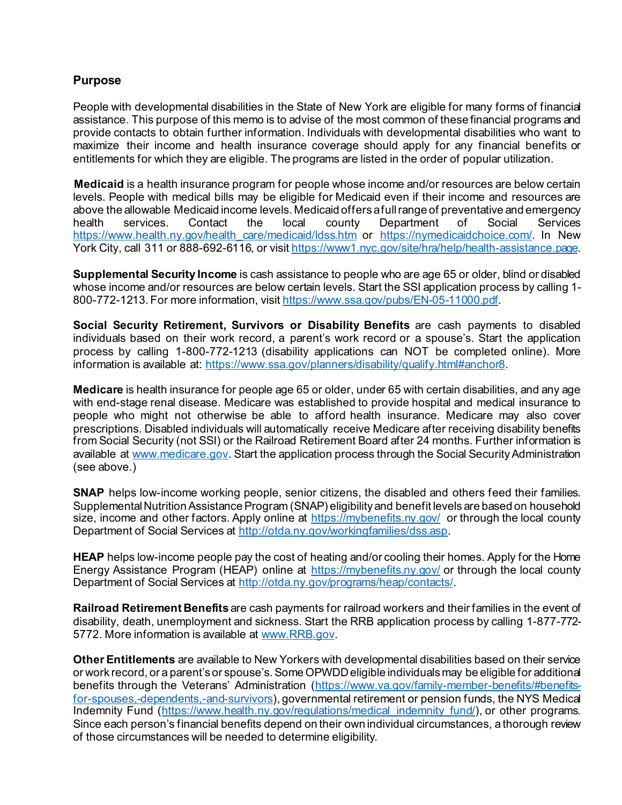## **Purpose**

People with developmental disabilities in the State of New York are eligible for many forms of financial assistance. This purpose of this memo is to advise of the most common of these financial programs and provide contacts to obtain further information. Individuals with developmental disabilities who want to maximize their income and health insurance coverage should apply for any financial benefits or entitlements for which they are eligible. The programs are listed in the order of popular utilization.

**Medicaid** is a health insurance program for people whose income and/or resources are below certain levels. People with medical bills may be eligible for Medicaid even if their income and resources are above the allowable Medicaid income levels. Medicaid offers a full range of preventative and emergency health services. Contact the local county Department of Social Services [https://www.health.ny.gov/health\\_care/medicaid/ldss.htm](https://www.health.ny.gov/health_care/medicaid/ldss.htm) or <https://nymedicaidchoice.com/>. In New York City, call 311 or 888-692-6116, or visi[t https://www1.nyc.gov/site/hra/help/health-assistance.page.](https://www1.nyc.gov/site/hra/help/health-assistance.page)

**Supplemental Security Income** is cash assistance to people who are age 65 or older, blind or disabled whose income and/or resources are below certain levels. Start the SSI application process by calling 1- 800-772-1213. For more information, visi[t https://www.ssa.gov/pubs/EN-05-11000.pdf.](https://www.ssa.gov/pubs/EN-05-11000.pdf)

**Social Security Retirement, Survivors or Disability Benefits** are cash payments to disabled individuals based on their work record, a parent's work record or a spouse's. Start the application process by calling 1-800-772-1213 (disability applications can NOT be completed online). More information is available at:<https://www.ssa.gov/planners/disability/qualify.html#anchor8>.

**Medicare** is health insurance for people age 65 or older, under 65 with certain disabilities, and any age with end-stage renal disease. Medicare was established to provide hospital and medical insurance to people who might not otherwise be able to afford health insurance. Medicare may also cover prescriptions. Disabled individuals will automatically receive Medicare after receiving disability benefits from Social Security (not SSI) or the Railroad Retirement Board after 24 months. Further information is available at [www.medicare.gov.](http://www.medicare.gov/) Start the application process through the Social Security Administration (see above.)

**SNAP** helps low-income working people, senior citizens, the disabled and others feed their families. Supplemental Nutrition Assistance Program (SNAP) eligibility and benefit levels are based on household size, income and other factors. Apply online at<https://mybenefits.ny.gov/>or through the local county Department of Social Services at [http://otda.ny.gov/workingfamilies/dss.asp.](http://otda.ny.gov/workingfamilies/dss.asp)

**HEAP** helps low-income people pay the cost of heating and/or cooling their homes. Apply for the Home Energy Assistance Program (HEAP) online at<https://mybenefits.ny.gov/> or through the local county Department of Social Services at<http://otda.ny.gov/programs/heap/contacts/>.

**Railroad Retirement Benefits** are cash payments for railroad workers and their families in the event of disability, death, unemployment and sickness. Start the RRB application process by calling 1-877-772- 5772. More information is available at [www.RRB.gov.](http://www.rrb.gov/)

**Other Entitlements** are available to New Yorkers with developmental disabilities based on their service or work record, or a parent's or spouse's. Some OPWDD eligible individuals may be eligible for additional benefits through the Veterans' Administration [\(https://www.va.gov/family-member-benefits/#benefits](https://www.va.gov/family-member-benefits/#benefits-for-spouses,-dependents,-and-survivors)[for-spouses,-dependents,-and-survivors\)](https://www.va.gov/family-member-benefits/#benefits-for-spouses,-dependents,-and-survivors), governmental retirement or pension funds, the NYS Medical Indemnity Fund [\(https://www.health.ny.gov/regulations/medical\\_indemnity\\_fund/](https://www.health.ny.gov/regulations/medical_indemnity_fund/)), or other programs. Since each person's financial benefits depend on their own individual circumstances, a thorough review of those circumstances will be needed to determine eligibility.